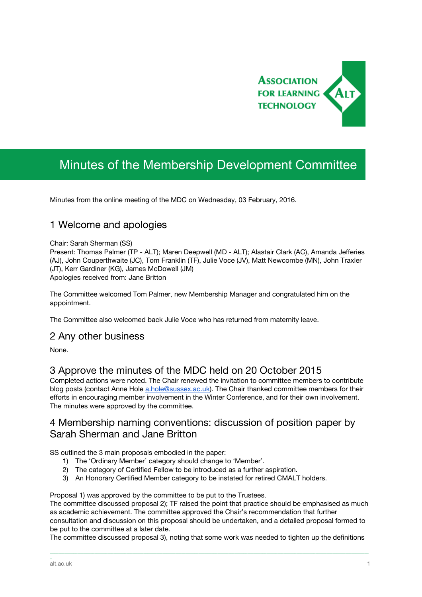

# Minutes of the Membership Development Committee

Minutes from the online meeting of the MDC on Wednesday, 03 February, 2016.

## 1 Welcome and apologies

#### Chair: Sarah Sherman (SS)

Present: Thomas Palmer (TP - ALT); Maren Deepwell (MD - ALT); Alastair Clark (AC), Amanda Jefferies (AJ), John Couperthwaite (JC), Tom Franklin (TF), Julie Voce (JV), Matt Newcombe (MN), John Traxler (JT), Kerr Gardiner (KG), James McDowell (JM) Apologies received from: Jane Britton

The Committee welcomed Tom Palmer, new Membership Manager and congratulated him on the appointment.

The Committee also welcomed back Julie Voce who has returned from maternity leave.

#### 2 Any other business

None.

#### 3 Approve the minutes of the MDC held on 20 October 2015

Completed actions were noted. The Chair renewed the invitation to committee members to contribute blog posts (contact Anne Hole [a.hole@sussex.ac.uk\)](mailto:a.hole@sussex.ac.uk). The Chair thanked committee members for their efforts in encouraging member involvement in the Winter Conference, and for their own involvement. The minutes were approved by the committee.

#### 4 Membership naming conventions: discussion of position paper by Sarah Sherman and Jane Britton

SS outlined the 3 main proposals embodied in the paper:

- 1) The 'Ordinary Member' category should change to 'Member'.
- 2) The category of Certified Fellow to be introduced as a further aspiration.
- 3) An Honorary Certified Member category to be instated for retired CMALT holders.

Proposal 1) was approved by the committee to be put to the Trustees.

The committee discussed proposal 2); TF raised the point that practice should be emphasised as much as academic achievement. The committee approved the Chair's recommendation that further consultation and discussion on this proposal should be undertaken, and a detailed proposal formed to be put to the committee at a later date.

The committee discussed proposal 3), noting that some work was needed to tighten up the definitions

\_\_\_\_\_\_\_\_\_\_\_\_\_\_\_\_\_\_\_\_\_\_\_\_\_\_\_\_\_\_\_\_\_\_\_\_\_\_\_\_\_\_\_\_\_\_\_\_\_\_\_\_\_\_\_\_\_\_\_\_\_\_\_\_\_\_\_\_\_\_\_\_\_\_\_\_\_\_\_\_\_\_\_\_\_\_\_\_\_\_\_\_\_\_\_\_\_\_\_\_\_\_\_\_\_\_\_\_\_\_\_\_\_\_\_\_\_\_\_\_\_\_\_\_\_\_\_\_\_\_\_\_\_\_\_\_\_\_\_\_\_\_\_\_\_\_\_\_\_\_

\_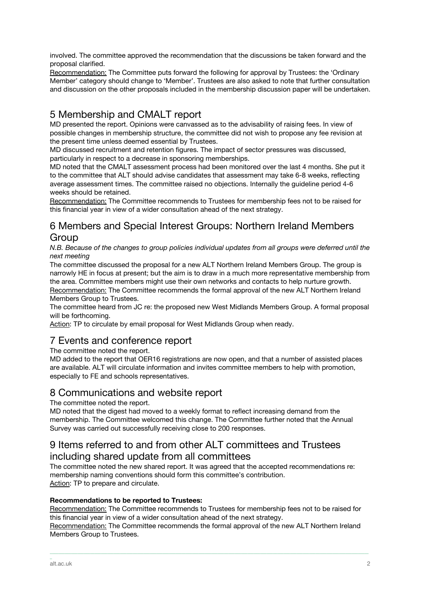involved. The committee approved the recommendation that the discussions be taken forward and the proposal clarified.

Recommendation: The Committee puts forward the following for approval by Trustees: the 'Ordinary Member' category should change to 'Member'. Trustees are also asked to note that further consultation and discussion on the other proposals included in the membership discussion paper will be undertaken.

# 5 Membership and CMALT report

MD presented the report. Opinions were canvassed as to the advisability of raising fees. In view of possible changes in membership structure, the committee did not wish to propose any fee revision at the present time unless deemed essential by Trustees.

MD discussed recruitment and retention figures. The impact of sector pressures was discussed, particularly in respect to a decrease in sponsoring memberships.

MD noted that the CMALT assessment process had been monitored over the last 4 months. She put it to the committee that ALT should advise candidates that assessment may take 6-8 weeks, reflecting average assessment times. The committee raised no objections. Internally the guideline period 4-6 weeks should be retained.

Recommendation: The Committee recommends to Trustees for membership fees not to be raised for this financial year in view of a wider consultation ahead of the next strategy.

# 6 Members and Special Interest Groups: Northern Ireland Members Group

*N.B. Because of the changes to group policies individual updates from all groups were deferred until the next meeting*

The committee discussed the proposal for a new ALT Northern Ireland Members Group. The group is narrowly HE in focus at present; but the aim is to draw in a much more representative membership from the area. Committee members might use their own networks and contacts to help nurture growth. Recommendation: The Committee recommends the formal approval of the new ALT Northern Ireland

Members Group to Trustees.

The committee heard from JC re: the proposed new West Midlands Members Group. A formal proposal will be forthcoming.

Action: TP to circulate by email proposal for West Midlands Group when ready.

# 7 Events and conference report

The committee noted the report.

MD added to the report that OER16 registrations are now open, and that a number of assisted places are available. ALT will circulate information and invites committee members to help with promotion, especially to FE and schools representatives.

## 8 Communications and website report

The committee noted the report.

MD noted that the digest had moved to a weekly format to reflect increasing demand from the membership. The Committee welcomed this change. The Committee further noted that the Annual Survey was carried out successfully receiving close to 200 responses.

#### 9 Items referred to and from other ALT committees and Trustees including shared update from all committees

The committee noted the new shared report. It was agreed that the accepted recommendations re: membership naming conventions should form this committee's contribution. Action: TP to prepare and circulate.

#### **Recommendations to be reported to Trustees:**

Recommendation: The Committee recommends to Trustees for membership fees not to be raised for this financial year in view of a wider consultation ahead of the next strategy.

Recommendation: The Committee recommends the formal approval of the new ALT Northern Ireland Members Group to Trustees.

\_\_\_\_\_\_\_\_\_\_\_\_\_\_\_\_\_\_\_\_\_\_\_\_\_\_\_\_\_\_\_\_\_\_\_\_\_\_\_\_\_\_\_\_\_\_\_\_\_\_\_\_\_\_\_\_\_\_\_\_\_\_\_\_\_\_\_\_\_\_\_\_\_\_\_\_\_\_\_\_\_\_\_\_\_\_\_\_\_\_\_\_\_\_\_\_\_\_\_\_\_\_\_\_\_\_\_\_\_\_\_\_\_\_\_\_\_\_\_\_\_\_\_\_\_\_\_\_\_\_\_\_\_\_\_\_\_\_\_\_\_\_\_\_\_\_\_\_\_\_

\_